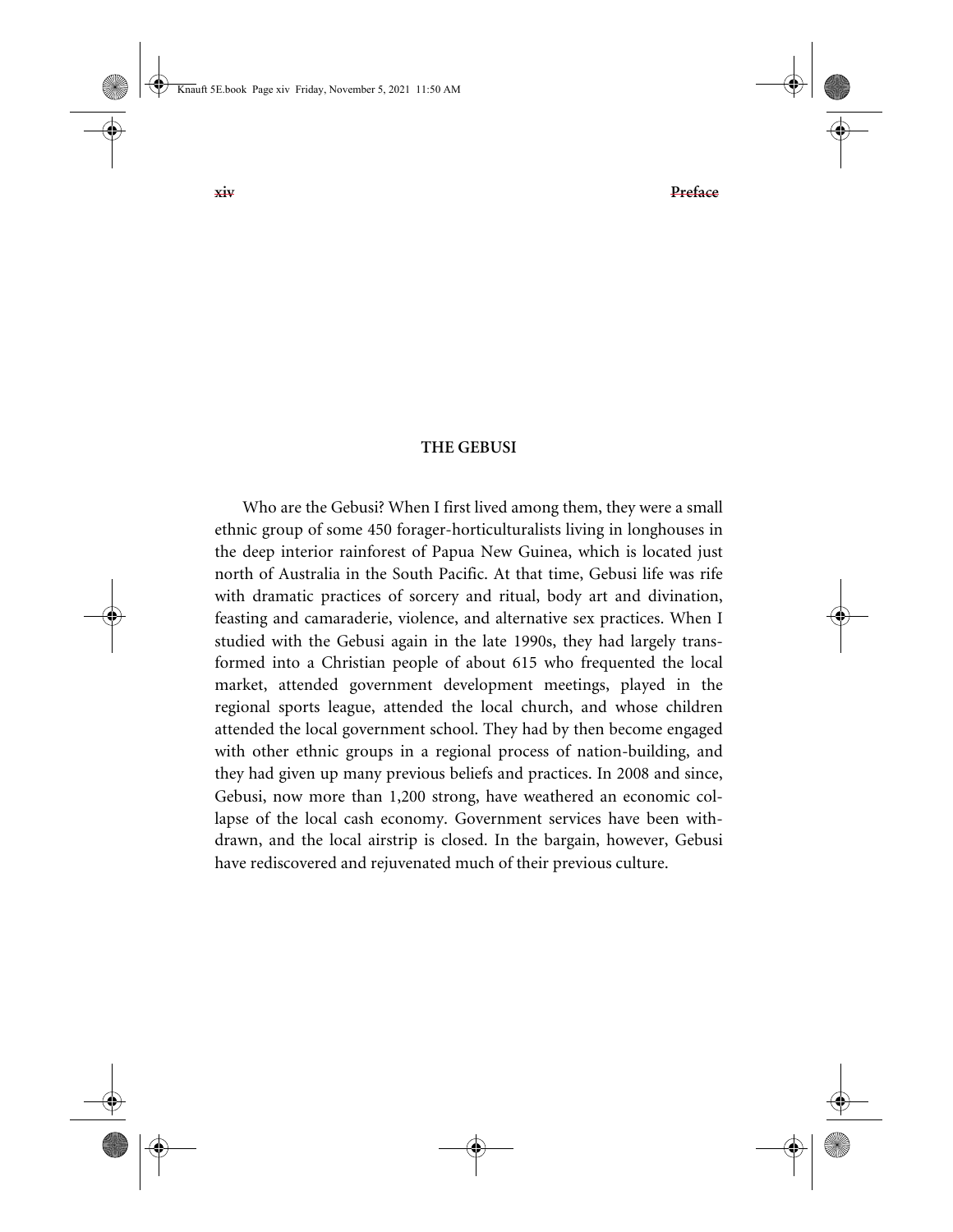## **THE GEBUSI**

Who are the Gebusi? When I first lived among them, they were a small ethnic group of some 450 forager-horticulturalists living in longhouses in the deep interior rainforest of Papua New Guinea, which is located just north of Australia in the South Pacific. At that time, Gebusi life was rife with dramatic practices of sorcery and ritual, body art and divination, feasting and camaraderie, violence, and alternative sex practices. When I studied with the Gebusi again in the late 1990s, they had largely transformed into a Christian people of about 615 who frequented the local market, attended government development meetings, played in the regional sports league, attended the local church, and whose children attended the local government school. They had by then become engaged with other ethnic groups in a regional process of nation-building, and they had given up many previous beliefs and practices. In 2008 and since, Gebusi, now more than 1,200 strong, have weathered an economic collapse of the local cash economy. Government services have been withdrawn, and the local airstrip is closed. In the bargain, however, Gebusi have rediscovered and rejuvenated much of their previous culture.